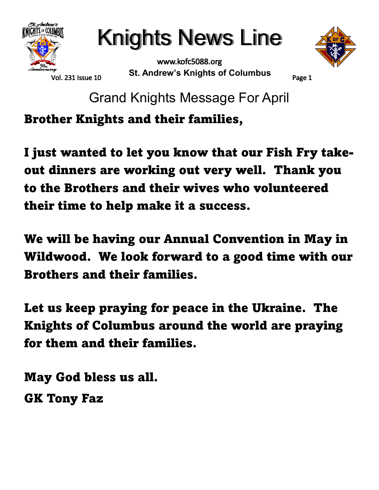

Knights News Line

www.kofc5088.org **St. Andrew's Knights of Columbus**



Vol. 231 Issue 10

Page 1

Grand Knights Message For April

**Brother Knights and their families,**

**I just wanted to let you know that our Fish Fry takeout dinners are working out very well. Thank you to the Brothers and their wives who volunteered their time to help make it a success.**

**We will be having our Annual Convention in May in Wildwood. We look forward to a good time with our Brothers and their families.**

**Let us keep praying for peace in the Ukraine. The Knights of Columbus around the world are praying for them and their families.**

**May God bless us all. GK Tony Faz**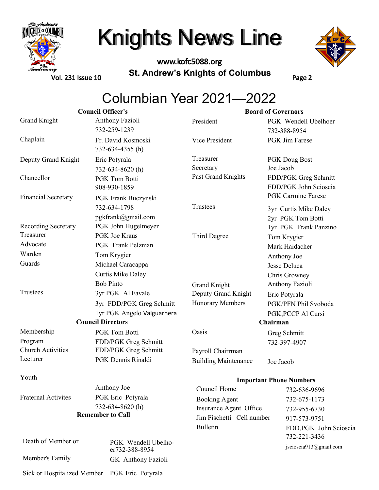

www.kofc5088.org **St. Andrew's Knights of Columbus**



Vol. 231 Issue 10

Page 2

### Columbian Year 2021—2022

| <b>Council Officer's</b>   |                                               | <b>Board of Governors</b>   |                                        |  |
|----------------------------|-----------------------------------------------|-----------------------------|----------------------------------------|--|
| <b>Grand Knight</b>        | Anthony Fazioli                               | President                   | PGK Wendell Ubelhoer                   |  |
|                            | 732-259-1239                                  |                             | 732-388-8954                           |  |
| Chaplain                   | Fr. David Kosmoski<br>732-634-4355 (h)        | Vice President              | <b>PGK</b> Jim Farese                  |  |
| Deputy Grand Knight        | Eric Potyrala                                 | Treasurer                   | PGK Doug Bost                          |  |
|                            | 732-634-8620(h)                               | Secretary                   | Joe Jacob                              |  |
| Chancellor                 | <b>PGK Tom Botti</b>                          | Past Grand Knights          | FDD/PGK Greg Schmitt                   |  |
|                            | 908-930-1859                                  |                             | FDD/PGK John Scioscia                  |  |
| <b>Financial Secretary</b> | PGK Frank Buczynski                           |                             | <b>PGK Carmine Farese</b>              |  |
|                            | 732-634-1798                                  | Trustees                    | 3yr Curtis Mike Daley                  |  |
|                            | pgkfrank@gmail.com                            |                             | 2yr PGK Tom Botti                      |  |
| Recording Secretary        | PGK John Hugelmeyer                           |                             | 1yr PGK Frank Panzino                  |  |
| Treasurer                  | <b>PGK</b> Joe Kraus                          | Third Degree                | Tom Krygier                            |  |
| Advocate                   | <b>PGK</b> Frank Pelzman                      |                             | Mark Haidacher                         |  |
| Warden                     | Tom Krygier                                   |                             | Anthony Joe                            |  |
| Guards                     | Michael Caracappa                             |                             | Jesse Deluca                           |  |
|                            | <b>Curtis Mike Daley</b>                      |                             | Chris Growney                          |  |
|                            | <b>Bob Pinto</b>                              | <b>Grand Knight</b>         | Anthony Fazioli                        |  |
| Trustees                   | 3yr PGK Al Favale                             | Deputy Grand Knight         | Eric Potyrala                          |  |
|                            | 3yr FDD/PGK Greg Schmitt                      | Honorary Members            | PGK/PFN Phil Svoboda                   |  |
|                            | 1yr PGK Angelo Valguarnera                    |                             | PGK, PCCP Al Cursi                     |  |
| <b>Council Directors</b>   |                                               | Chairman                    |                                        |  |
| Membership                 | PGK Tom Botti                                 | Oasis                       | Greg Schmitt                           |  |
| Program                    | FDD/PGK Greg Schmitt                          |                             | 732-397-4907                           |  |
| <b>Church Activities</b>   | FDD/PGK Greg Schmitt                          | Payroll Chairrman           |                                        |  |
| Lecturer                   | PGK Dennis Rinaldi                            | <b>Building Maintenance</b> | Joe Jacob                              |  |
| Youth                      |                                               |                             | <b>Important Phone Numbers</b>         |  |
|                            | Anthony Joe                                   | Council Home                | 732-636-9696                           |  |
| <b>Fraternal Activites</b> | PGK Eric Potyrala                             | <b>Booking Agent</b>        | 732-675-1173                           |  |
|                            | 732-634-8620(h)                               | Insurance Agent Office      | 732-955-6730                           |  |
| <b>Remember to Call</b>    |                                               | Jim Fischetti Cell number   | 917-573-9751                           |  |
|                            |                                               | Bulletin                    | FDD, PGK John Scioscia<br>732-221-3436 |  |
| Death of Member or         | PGK Wendell Ubelho-<br>er732-388-8954         |                             | jscioscia913@gmail.com                 |  |
| Member's Family            | GK Anthony Fazioli                            |                             |                                        |  |
|                            | Sick or Hospitalized Member PGK Eric Potyrala |                             |                                        |  |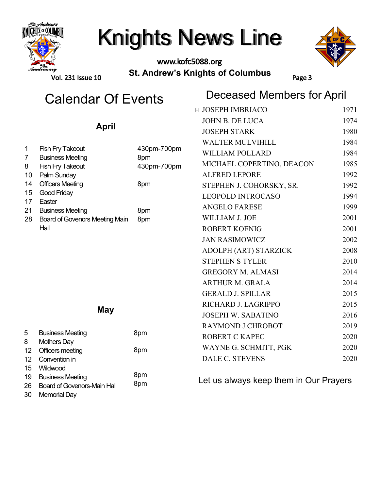

### www.kofc5088.org **St. Andrew's Knights of Columbus**



Vol. 231 Issue 10

## Calendar Of Events<br>  $\begin{array}{cc}\n\text{Deceased Members for April}\n\\ \n\text{Deceased Members for April}\n\\ \n\text{Deceased Members for April}\n\\ \n\text{Deceased Members for April}\n\\ \n\text{Deceased Members for April}\n\\ \n\text{Deceased Members for April}\n\\ \n\text{Deceased Members for April}\n\\ \n\text{Deceased Members for April}\n\\ \n\text{Deceased Members for April}\n\\ \n\text{Deceased Members for April}\n\\ \n\text{Deceased Members for April}\n\\ \n\text{Deceased Members for April}\n\\ \n\text{Deceased Members for April}\n\\ \$

Page 3

|                     |                                                                  |                    | H JOSEPH IMBRIACO                      | 1971 |
|---------------------|------------------------------------------------------------------|--------------------|----------------------------------------|------|
|                     |                                                                  |                    | <b>JOHN B. DE LUCA</b>                 | 1974 |
|                     | <b>April</b>                                                     |                    | <b>JOSEPH STARK</b>                    | 1980 |
|                     |                                                                  |                    | <b>WALTER MULVIHILL</b>                | 1984 |
| 1                   | <b>Fish Fry Takeout</b>                                          | 430pm-700pm        | <b>WILLIAM POLLARD</b>                 | 1984 |
| $\overline{7}$<br>8 | <b>Business Meeting</b><br>Fish Fry Takeout                      | 8pm<br>430pm-700pm | MICHAEL COPERTINO, DEACON              | 1985 |
| 10                  | Palm Sunday                                                      |                    | <b>ALFRED LEPORE</b>                   | 1992 |
| 14                  | <b>Officers Meeting</b>                                          | 8pm                | STEPHEN J. COHORSKY, SR.               | 1992 |
| 15                  | Good Friday                                                      |                    | <b>LEOPOLD INTROCASO</b>               | 1994 |
| 17                  | Easter                                                           |                    | <b>ANGELO FARESE</b>                   | 1999 |
| 21<br>28            | <b>Business Meeting</b><br><b>Board of Govenors Meeting Main</b> | 8pm<br>8pm         | WILLIAM J. JOE                         | 2001 |
|                     | Hall                                                             |                    | <b>ROBERT KOENIG</b>                   | 2001 |
|                     |                                                                  |                    | <b>JAN RASIMOWICZ</b>                  | 2002 |
|                     |                                                                  |                    | ADOLPH (ART) STARZICK                  | 2008 |
|                     |                                                                  |                    | <b>STEPHEN S TYLER</b>                 | 2010 |
|                     |                                                                  |                    | <b>GREGORY M. ALMASI</b>               | 2014 |
|                     |                                                                  |                    | <b>ARTHUR M. GRALA</b>                 | 2014 |
|                     |                                                                  |                    | <b>GERALD J. SPILLAR</b>               | 2015 |
|                     |                                                                  |                    |                                        |      |
| <b>May</b>          |                                                                  |                    | RICHARD J. LAGRIPPO                    | 2015 |
|                     |                                                                  |                    | <b>JOSEPH W. SABATINO</b>              | 2016 |
| 5                   |                                                                  |                    | RAYMOND J CHROBOT                      | 2019 |
| 8                   | <b>Business Meeting</b><br><b>Mothers Day</b>                    | 8pm                | <b>ROBERT C KAPEC</b>                  | 2020 |
| 12                  | Officers meeting                                                 | 8pm                | WAYNE G. SCHMITT, PGK                  | 2020 |
| 12                  | Convention in                                                    |                    | <b>DALE C. STEVENS</b>                 | 2020 |
| 15                  | Wildwood                                                         |                    |                                        |      |
| 19                  | <b>Business Meeting</b>                                          | 8pm                | Let us always keep them in Our Prayers |      |
| 26                  | <b>Board of Govenors-Main Hall</b>                               | 8pm                |                                        |      |

26 30 Memorial Day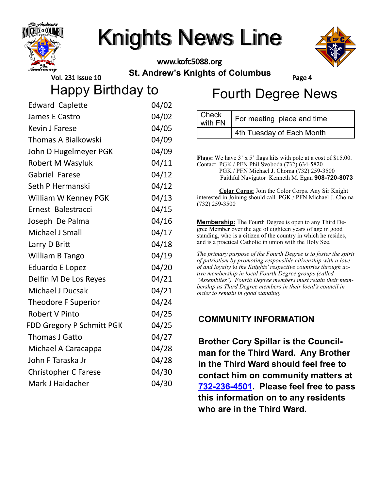

www.kofc5088.org **St. Andrew's Knights of Columbus**

Check



Vol. 231 Issue 10

Page 4

Happy Birthday to

|  | <b>Fourth Degree News</b> |
|--|---------------------------|
|--|---------------------------|

| <b>Edward Caplette</b>      | 04/02 |
|-----------------------------|-------|
| James E Castro              | 04/02 |
| <b>Kevin J Farese</b>       | 04/05 |
| <b>Thomas A Bialkowski</b>  | 04/09 |
| John D Hugelmeyer PGK       | 04/09 |
| <b>Robert M Wasyluk</b>     | 04/11 |
| <b>Gabriel Farese</b>       | 04/12 |
| Seth P Hermanski            | 04/12 |
| William W Kenney PGK        | 04/13 |
| Ernest Balestracci          | 04/15 |
| Joseph De Palma             | 04/16 |
| Michael J Small             | 04/17 |
| Larry D Britt               | 04/18 |
| William B Tango             | 04/19 |
| <b>Eduardo E Lopez</b>      | 04/20 |
| Delfin M De Los Reyes       | 04/21 |
| <b>Michael J Ducsak</b>     | 04/21 |
| Theodore F Superior         | 04/24 |
| <b>Robert V Pinto</b>       | 04/25 |
| FDD Gregory P Schmitt PGK   | 04/25 |
| <b>Thomas J Gatto</b>       | 04/27 |
| Michael A Caracappa         | 04/28 |
| John F Taraska Jr           | 04/28 |
| <b>Christopher C Farese</b> | 04/30 |
| Mark J Haidacher            | 04/30 |

**Flags:** We have 3' x 5' flags kits with pole at a cost of \$15.00. 4th Tuesday of Each Month

 $\frac{1}{2}$  For meeting place and time

Contact PGK / PFN Phil Svoboda (732) 634-5820 PGK / PFN Michael J. Choma (732) 259-3500 Faithful Navigator Kenneth M. Egan **908-720-8073**

**Color Corps:** Join the Color Corps. Any Sir Knight interested in Joining should call PGK / PFN Michael J. Choma (732) 259-3500

**Membership:** The Fourth Degree is open to any Third Degree Member over the age of eighteen years of age in good standing, who is a citizen of the country in which he resides, and is a practical Catholic in union with the Holy See.

*The primary purpose of the Fourth Degree is to foster the spirit of patriotism by promoting responsible citizenship with a love of and loyalty* to *the Knights' respective countries through active membership in local Fourth Degree groups (called "Assemblies"). Fourth Degree members must retain their membership as Third Degree members in their local's council in order to remain in good standing.*

### **COMMUNITY INFORMATION**

**Brother Cory Spillar is the Councilman for the Third Ward. Any Brother in the Third Ward should feel free to contact him on community matters at 732-236-[4501.](tel:732-236-4501) Please feel free to pass this information on to any residents who are in the Third Ward.**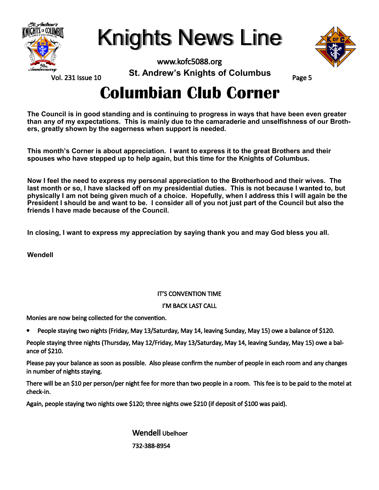

Knights News Line

www.kofc5088.org



Vol. 231 Issue 10

**St. Andrew's Knights of Columbus**

Page 5

## **Columbian Club Corner**

**The Council is in good standing and is continuing to progress in ways that have been even greater than any of my expectations. This is mainly due to the camaraderie and unselfishness of our Brothers, greatly shown by the eagerness when support is needed.**

**This month's Corner is about appreciation. I want to express it to the great Brothers and their spouses who have stepped up to help again, but this time for the Knights of Columbus.**

**Now I feel the need to express my personal appreciation to the Brotherhood and their wives. The last month or so, I have slacked off on my presidential duties. This is not because I wanted to, but physically I am not being given much of a choice. Hopefully, when I address this I will again be the President I should be and want to be. I consider all of you not just part of the Council but also the friends I have made because of the Council.**

**In closing, I want to express my appreciation by saying thank you and may God bless you all.**

**Wendell** 

#### IT'S CONVENTION TIME

#### I'M BACK LAST CALL

Monies are now being collected for the convention.

• People staying two nights (Friday, May 13/Saturday, May 14, leaving Sunday, May 15) owe a balance of \$120.

People staying three nights (Thursday, May 12/Friday, May 13/Saturday, May 14, leaving Sunday, May 15) owe a balance of \$210.

Please pay your balance as soon as possible. Also please confirm the number of people in each room and any changes in number of nights staying.

There will be an \$10 per person/per night fee for more than two people in a room. This fee is to be paid to the motel at check-in.

Again, people staying two nights owe \$120; three nights owe \$210 (if deposit of \$100 was paid).

 Wendell Ubelhoer 732-388-8954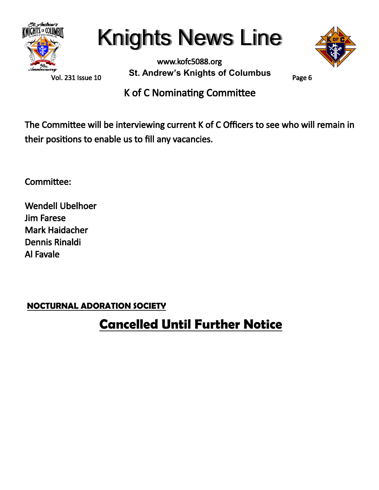

Vol. 231 Issue 10

www.kofc5088.org **St. Andrew's Knights of Columbus**



Page 6

K of C Nominating Committee

The Committee will be interviewing current K of C Officers to see who will remain in their positions to enable us to fill any vacancies.

Committee:

Wendell Ubelhoer Jim Farese Mark Haidacher Dennis Rinaldi Al Favale

**NOCTURNAL ADORATION SOCIETY**

### **Cancelled Until Further Notice**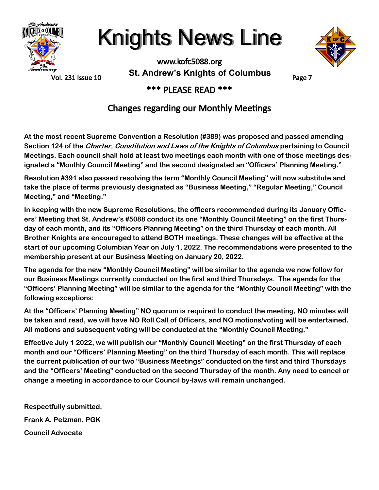



Vol. 231 Issue 10

www.kofc5088.org **St. Andrew's Knights of Columbus**

Page 7

### \*\*\* PLEASE READ \*\*\*

### Changes regarding our Monthly Meetings

**At the most recent Supreme Convention a Resolution (#389) was proposed and passed amending Section 124 of the Charter, Constitution and Laws of the Knights of Columbus pertaining to Council Meetings. Each council shall hold at least two meetings each month with one of those meetings designated a "Monthly Council Meeting" and the second designated an "Officers' Planning Meeting."** 

**Resolution #391 also passed resolving the term "Monthly Council Meeting" will now substitute and take the place of terms previously designated as "Business Meeting," "Regular Meeting," Council Meeting," and "Meeting."**

**In keeping with the new Supreme Resolutions, the officers recommended during its January Officers' Meeting that St. Andrew's #5088 conduct its one "Monthly Council Meeting" on the first Thursday of each month, and its "Officers Planning Meeting" on the third Thursday of each month. All Brother Knights are encouraged to attend BOTH meetings. These changes will be effective at the start of our upcoming Columbian Year on July 1, 2022. The recommendations were presented to the membership present at our Business Meeting on January 20, 2022.**

**The agenda for the new "Monthly Council Meeting" will be similar to the agenda we now follow for our Business Meetings currently conducted on the first and third Thursdays. The agenda for the "Officers' Planning Meeting" will be similar to the agenda for the "Monthly Council Meeting" with the following exceptions:**

**At the "Officers' Planning Meeting" NO quorum is required to conduct the meeting, NO minutes will be taken and read, we will have NO Roll Call of Officers, and NO motions/voting will be entertained. All motions and subsequent voting will be conducted at the "Monthly Council Meeting."**

**Effective July 1 2022, we will publish our "Monthly Council Meeting" on the first Thursday of each month and our "Officers' Planning Meeting" on the third Thursday of each month. This will replace the current publication of our two "Business Meetings" conducted on the first and third Thursdays and the "Officers' Meeting" conducted on the second Thursday of the month. Any need to cancel or change a meeting in accordance to our Council by-laws will remain unchanged.**

**Respectfully submitted. Frank A. Pelzman, PGK Council Advocate**